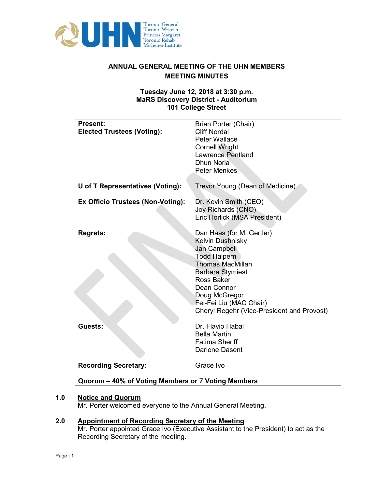

# **ANNUAL GENERAL MEETING OF THE UHN MEMBERS MEETING MINUTES**

### **Tuesday June 12, 2018 at 3:30 p.m. MaRS Discovery District - Auditorium 101 College Street**

| <b>Present:</b><br><b>Elected Trustees (Voting):</b> | <b>Brian Porter (Chair)</b><br><b>Cliff Nordal</b><br>Peter Wallace<br><b>Cornell Wright</b><br><b>Lawrence Pentland</b><br><b>Dhun Noria</b><br><b>Peter Menkes</b>                                                                                                     |
|------------------------------------------------------|--------------------------------------------------------------------------------------------------------------------------------------------------------------------------------------------------------------------------------------------------------------------------|
| U of T Representatives (Voting):                     | Trevor Young (Dean of Medicine)                                                                                                                                                                                                                                          |
| Ex Officio Trustees (Non-Voting):                    | Dr. Kevin Smith (CEO)<br>Joy Richards (CNO)<br>Eric Horlick (MSA President)                                                                                                                                                                                              |
| <b>Regrets:</b>                                      | Dan Haas (for M. Gertler)<br>Kelvin Dushnisky<br>Jan Campbell<br><b>Todd Halpern</b><br><b>Thomas MacMillan</b><br><b>Barbara Stymiest</b><br><b>Ross Baker</b><br>Dean Connor<br>Doug McGregor<br>Fei-Fei Liu (MAC Chair)<br>Cheryl Regehr (Vice-President and Provost) |
| Guests:                                              | Dr. Flavio Habal<br><b>Bella Martin</b><br><b>Fatima Sheriff</b><br><b>Darlene Dasent</b>                                                                                                                                                                                |
| <b>Recording Secretary:</b>                          | Grace Ivo                                                                                                                                                                                                                                                                |
| Quorum - 40% of Voting Members or 7 Voting Members   |                                                                                                                                                                                                                                                                          |

# **1.0 Notice and Quorum**

Mr. Porter welcomed everyone to the Annual General Meeting.

# **2.0 Appointment of Recording Secretary of the Meeting**

Mr. Porter appointed Grace Ivo (Executive Assistant to the President) to act as the Recording Secretary of the meeting.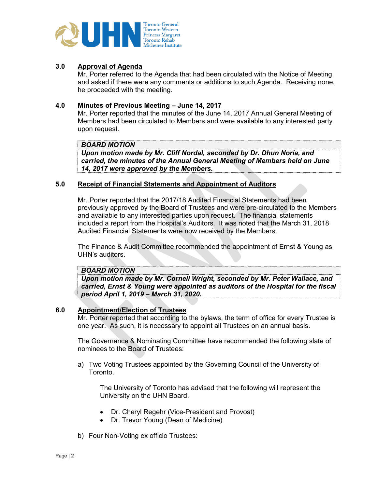

# **3.0 Approval of Agenda**

Mr. Porter referred to the Agenda that had been circulated with the Notice of Meeting and asked if there were any comments or additions to such Agenda. Receiving none, he proceeded with the meeting.

#### **4.0 Minutes of Previous Meeting – June 14, 2017**

Mr. Porter reported that the minutes of the June 14, 2017 Annual General Meeting of Members had been circulated to Members and were available to any interested party upon request.

#### *BOARD MOTION*

*Upon motion made by Mr. Cliff Nordal, seconded by Dr. Dhun Noria, and carried, the minutes of the Annual General Meeting of Members held on June 14, 2017 were approved by the Members.*

#### **5.0 Receipt of Financial Statements and Appointment of Auditors**

Mr. Porter reported that the 2017/18 Audited Financial Statements had been previously approved by the Board of Trustees and were pre-circulated to the Members and available to any interested parties upon request. The financial statements included a report from the Hospital's Auditors. It was noted that the March 31, 2018 Audited Financial Statements were now received by the Members.

The Finance & Audit Committee recommended the appointment of Ernst & Young as UHN's auditors.

# *BOARD MOTION*

*Upon motion made by Mr. Cornell Wright, seconded by Mr. Peter Wallace, and carried, Ernst & Young were appointed as auditors of the Hospital for the fiscal period April 1, 2019 – March 31, 2020.*

### **6.0 Appointment/Election of Trustees**

Mr. Porter reported that according to the bylaws, the term of office for every Trustee is one year. As such, it is necessary to appoint all Trustees on an annual basis.

The Governance & Nominating Committee have recommended the following slate of nominees to the Board of Trustees:

a) Two Voting Trustees appointed by the Governing Council of the University of Toronto.

The University of Toronto has advised that the following will represent the University on the UHN Board.

- Dr. Cheryl Regehr (Vice-President and Provost)
- Dr. Trevor Young (Dean of Medicine)
- b) Four Non-Voting ex officio Trustees: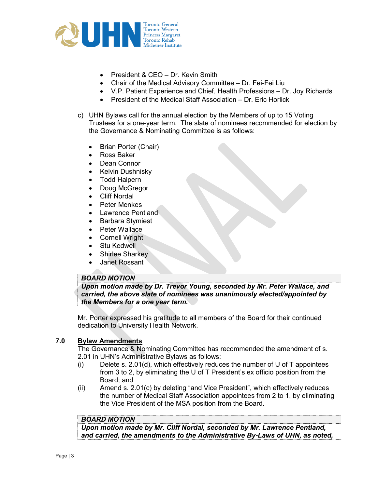

- President & CEO Dr. Kevin Smith
- Chair of the Medical Advisory Committee Dr. Fei-Fei Liu
- V.P. Patient Experience and Chief, Health Professions Dr. Joy Richards
- President of the Medical Staff Association Dr. Eric Horlick
- c) UHN Bylaws call for the annual election by the Members of up to 15 Voting Trustees for a one-year term. The slate of nominees recommended for election by the Governance & Nominating Committee is as follows:
	- Brian Porter (Chair)
	- Ross Baker
	- Dean Connor
	- Kelvin Dushnisky
	- Todd Halpern
	- Doug McGregor
	- **Cliff Nordal**
	- Peter Menkes
	- Lawrence Pentland
	- Barbara Stymiest
	- Peter Wallace
	- Cornell Wright
	- **Stu Kedwell**
	- Shirlee Sharkey
	- Janet Rossant

### *BOARD MOTION*

*Upon motion made by Dr. Trevor Young, seconded by Mr. Peter Wallace, and carried, the above slate of nominees was unanimously elected/appointed by the Members for a one year term.*

Mr. Porter expressed his gratitude to all members of the Board for their continued dedication to University Health Network.

### **7.0 Bylaw Amendments**

The Governance & Nominating Committee has recommended the amendment of s. 2.01 in UHN's Administrative Bylaws as follows:

- $(i)$  Delete s. 2.01(d), which effectively reduces the number of U of T appointees from 3 to 2, by eliminating the U of T President's ex officio position from the Board; and
- (ii) Amend s. 2.01(c) by deleting "and Vice President", which effectively reduces the number of Medical Staff Association appointees from 2 to 1, by eliminating the Vice President of the MSA position from the Board.

# *BOARD MOTION*

*Upon motion made by Mr. Cliff Nordal, seconded by Mr. Lawrence Pentland, and carried, the amendments to the Administrative By-Laws of UHN, as noted,*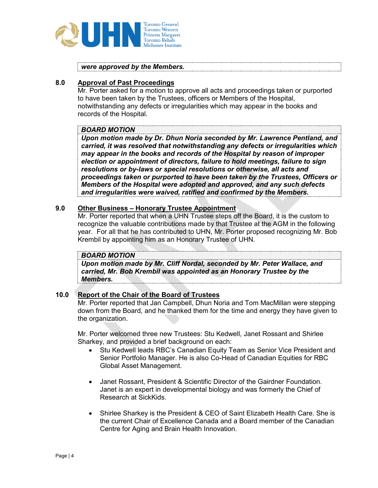

*were approved by the Members.* 

#### **8.0 Approval of Past Proceedings**

Mr. Porter asked for a motion to approve all acts and proceedings taken or purported to have been taken by the Trustees, officers or Members of the Hospital, notwithstanding any defects or irregularities which may appear in the books and records of the Hospital.

### *BOARD MOTION*

*Upon motion made by Dr. Dhun Noria seconded by Mr. Lawrence Pentland, and carried, it was resolved that notwithstanding any defects or irregularities which may appear in the books and records of the Hospital by reason of improper election or appointment of directors, failure to hold meetings, failure to sign resolutions or by-laws or special resolutions or otherwise, all acts and proceedings taken or purported to have been taken by the Trustees, Officers or Members of the Hospital were adopted and approved, and any such defects and irregularities were waived, ratified and confirmed by the Members.* 

#### **9.0 Other Business – Honorary Trustee Appointment**

Mr. Porter reported that when a UHN Trustee steps off the Board, it is the custom to recognize the valuable contributions made by that Trustee at the AGM in the following year. For all that he has contributed to UHN, Mr. Porter proposed recognizing Mr. Bob Krembil by appointing him as an Honorary Trustee of UHN.

#### *BOARD MOTION*

*Upon motion made by Mr. Cliff Nordal, seconded by Mr. Peter Wallace, and carried, Mr. Bob Krembil was appointed as an Honorary Trustee by the Members.*

### **10.0 Report of the Chair of the Board of Trustees**

Mr. Porter reported that Jan Campbell, Dhun Noria and Tom MacMillan were stepping down from the Board, and he thanked them for the time and energy they have given to the organization.

Mr. Porter welcomed three new Trustees: Stu Kedwell, Janet Rossant and Shirlee Sharkey, and provided a brief background on each:

- Stu Kedwell leads RBC's Canadian Equity Team as Senior Vice President and Senior Portfolio Manager. He is also Co-Head of Canadian Equities for RBC Global Asset Management.
- Janet Rossant, President & Scientific Director of the Gairdner Foundation. Janet is an expert in developmental biology and was formerly the Chief of Research at SickKids.
- Shirlee Sharkey is the President & CEO of Saint Elizabeth Health Care. She is the current Chair of Excellence Canada and a Board member of the Canadian Centre for Aging and Brain Health Innovation.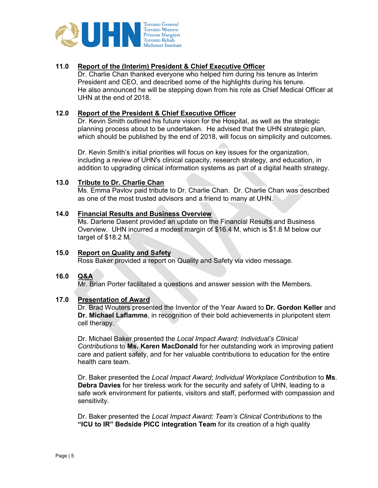

# **11.0 Report of the (Interim) President & Chief Executive Officer**

Dr. Charlie Chan thanked everyone who helped him during his tenure as Interim President and CEO, and described some of the highlights during his tenure. He also announced he will be stepping down from his role as Chief Medical Officer at UHN at the end of 2018.

#### **12.0 Report of the President & Chief Executive Officer**

Dr. Kevin Smith outlined his future vision for the Hospital, as well as the strategic planning process about to be undertaken. He advised that the UHN strategic plan, which should be published by the end of 2018, will focus on simplicity and outcomes.

Dr. Kevin Smith's initial priorities will focus on key issues for the organization, including a review of UHN's clinical capacity, research strategy, and education, in addition to upgrading clinical information systems as part of a digital health strategy.

#### **13.0 Tribute to Dr. Charlie Chan**

Ms. Emma Pavlov paid tribute to Dr. Charlie Chan. Dr. Charlie Chan was described as one of the most trusted advisors and a friend to many at UHN.

#### **14.0 Financial Results and Business Overview**

Ms. Darlene Dasent provided an update on the Financial Results and Business Overview. UHN incurred a modest margin of \$16.4 M, which is \$1.8 M below our target of \$18.2 M.

#### **15.0 Report on Quality and Safety**  Ross Baker provided a report on Quality and Safety via video message.

### **16.0 Q&A**

Mr. Brian Porter facilitated a questions and answer session with the Members.

### **17.0 Presentation of Award**

Dr. Brad Wouters presented the Inventor of the Year Award to **Dr. Gordon Keller** and **Dr. Michael Laflamme**, in recognition of their bold achievements in pluripotent stem cell therapy.

Dr. Michael Baker presented the *Local Impact Award; Individual's Clinical Contributions* to **Ms. Karen MacDonald** for her outstanding work in improving patient care and patient safety, and for her valuable contributions to education for the entire health care team.

Dr. Baker presented the *Local Impact Award; Individual Workplace Contribution* to **Ms**. **Debra Davies** for her tireless work for the security and safety of UHN, leading to a safe work environment for patients, visitors and staff, performed with compassion and sensitivity.

Dr. Baker presented the *Local Impact Award; Team's Clinical Contributions* to the **"ICU to IR" Bedside PICC integration Team** for its creation of a high quality